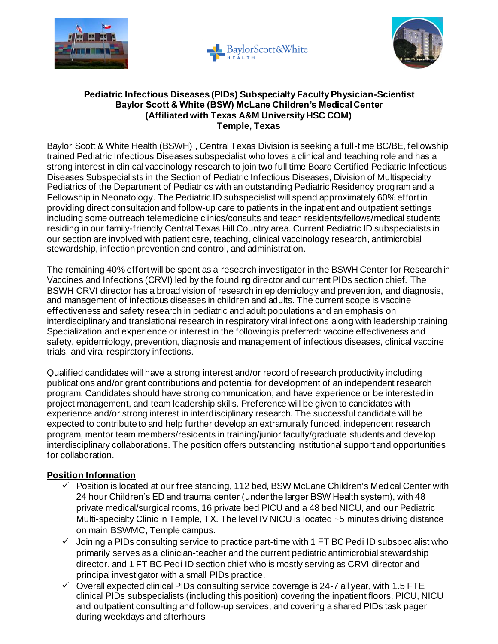





## **Pediatric Infectious Diseases (PIDs) Subspecialty Faculty Physician-Scientist Baylor Scott & White (BSW) McLane Children's Medical Center (Affiliated with Texas A&M University HSC COM) Temple, Texas**

Baylor Scott & White Health (BSWH) , Central Texas Division is seeking a full-time BC/BE, fellowship trained Pediatric Infectious Diseases subspecialist who loves a clinical and teaching role and has a strong interest in clinical vaccinology research to join two full time Board Certified Pediatric Infectious Diseases Subspecialists in the Section of Pediatric Infectious Diseases, Division of Multispecialty Pediatrics of the Department of Pediatrics with an outstanding Pediatric Residency program and a Fellowship in Neonatology. The Pediatric ID subspecialist will spend approximately 60% effort in providing direct consultation and follow-up care to patients in the inpatient and outpatient settings including some outreach telemedicine clinics/consults and teach residents/fellows/medical students residing in our family-friendly Central Texas Hill Country area. Current Pediatric ID subspecialists in our section are involved with patient care, teaching, clinical vaccinology research, antimicrobial stewardship, infection prevention and control, and administration.

The remaining 40% effort will be spent as a research investigator in the BSWH Center for Research in Vaccines and Infections (CRVI) led by the founding director and current PIDs section chief. The BSWH CRVI director has a broad vision of research in epidemiology and prevention, and diagnosis, and management of infectious diseases in children and adults. The current scope is vaccine effectiveness and safety research in pediatric and adult populations and an emphasis on interdisciplinary and translational research in respiratory viral infections along with leadership training. Specialization and experience or interest in the following is preferred: vaccine effectiveness and safety, epidemiology, prevention, diagnosis and management of infectious diseases, clinical vaccine trials, and viral respiratory infections.

Qualified candidates will have a strong interest and/or record of research productivity including publications and/or grant contributions and potential for development of an independent research program. Candidates should have strong communication, and have experience or be interested in project management, and team leadership skills. Preference will be given to candidates with experience and/or strong interest in interdisciplinary research. The successful candidate will be expected to contribute to and help further develop an extramurally funded, independent research program, mentor team members/residents in training/junior faculty/graduate students and develop interdisciplinary collaborations. The position offers outstanding institutional support and opportunities for collaboration.

## **Position Information**

- $\checkmark$  Position is located at our free standing, 112 bed, BSW McLane Children's Medical Center with 24 hour Children's ED and trauma center (under the larger BSW Health system), with 48 private medical/surgical rooms, 16 private bed PICU and a 48 bed NICU, and our Pediatric Multi-specialty Clinic in Temple, TX. The level IV NICU is located ~5 minutes driving distance on main BSWMC, Temple campus.
- $\checkmark$  Joining a PIDs consulting service to practice part-time with 1 FT BC Pedi ID subspecialist who primarily serves as a clinician-teacher and the current pediatric antimicrobial stewardship director, and 1 FT BC Pedi ID section chief who is mostly serving as CRVI director and principal investigator with a small PIDs practice.
- $\checkmark$  Overall expected clinical PIDs consulting service coverage is 24-7 all year, with 1.5 FTE clinical PIDs subspecialists (including this position) covering the inpatient floors, PICU, NICU and outpatient consulting and follow-up services, and covering a shared PIDs task pager during weekdays and afterhours